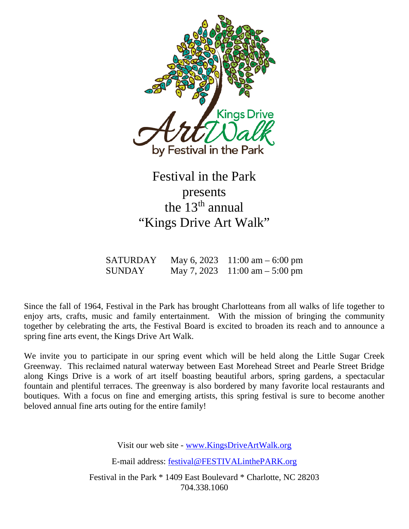

# Festival in the Park presents the  $13<sup>th</sup>$  annual "Kings Drive Art Walk"

| <b>SATURDAY</b> | May 6, 2023 11:00 am $-6:00$ pm  |
|-----------------|----------------------------------|
| <b>SUNDAY</b>   | May 7, 2023 11:00 am $-$ 5:00 pm |

Since the fall of 1964, Festival in the Park has brought Charlotteans from all walks of life together to enjoy arts, crafts, music and family entertainment. With the mission of bringing the community together by celebrating the arts, the Festival Board is excited to broaden its reach and to announce a spring fine arts event, the Kings Drive Art Walk.

We invite you to participate in our spring event which will be held along the Little Sugar Creek Greenway. This reclaimed natural waterway between East Morehead Street and Pearle Street Bridge along Kings Drive is a work of art itself boasting beautiful arbors, spring gardens, a spectacular fountain and plentiful terraces. The greenway is also bordered by many favorite local restaurants and boutiques. With a focus on fine and emerging artists, this spring festival is sure to become another beloved annual fine arts outing for the entire family!

Visit our web site - [www.KingsDriveArtWalk.org](http://www.kingsdriveartwalk.org/)

E-mail address: [festival@FESTIVALinthePARK.org](mailto:festival@FESTIVALinthePARK.org)

Festival in the Park \* 1409 East Boulevard \* Charlotte, NC 28203 704.338.1060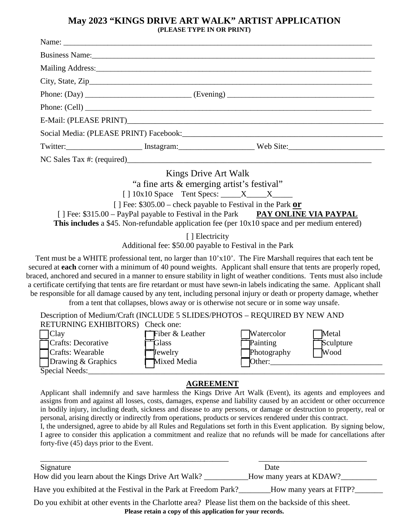#### **May 2023 "KINGS DRIVE ART WALK" ARTIST APPLICATION (PLEASE TYPE IN OR PRINT)**

|                                                                                                                                                                                    | Business Name: 1988 Manual Communication of the Manual Communication of the Manual Communication of the Manual Communication of the Manual Communication of the Manual Communication of the Manual Communication of the Manual |                                                                                                                                                                                                                                                                                                                                                                                                                                                                                                                                                                                                                                                                                                     |  |  |  |
|------------------------------------------------------------------------------------------------------------------------------------------------------------------------------------|--------------------------------------------------------------------------------------------------------------------------------------------------------------------------------------------------------------------------------|-----------------------------------------------------------------------------------------------------------------------------------------------------------------------------------------------------------------------------------------------------------------------------------------------------------------------------------------------------------------------------------------------------------------------------------------------------------------------------------------------------------------------------------------------------------------------------------------------------------------------------------------------------------------------------------------------------|--|--|--|
|                                                                                                                                                                                    |                                                                                                                                                                                                                                |                                                                                                                                                                                                                                                                                                                                                                                                                                                                                                                                                                                                                                                                                                     |  |  |  |
|                                                                                                                                                                                    |                                                                                                                                                                                                                                |                                                                                                                                                                                                                                                                                                                                                                                                                                                                                                                                                                                                                                                                                                     |  |  |  |
|                                                                                                                                                                                    |                                                                                                                                                                                                                                |                                                                                                                                                                                                                                                                                                                                                                                                                                                                                                                                                                                                                                                                                                     |  |  |  |
|                                                                                                                                                                                    |                                                                                                                                                                                                                                |                                                                                                                                                                                                                                                                                                                                                                                                                                                                                                                                                                                                                                                                                                     |  |  |  |
|                                                                                                                                                                                    |                                                                                                                                                                                                                                |                                                                                                                                                                                                                                                                                                                                                                                                                                                                                                                                                                                                                                                                                                     |  |  |  |
|                                                                                                                                                                                    |                                                                                                                                                                                                                                |                                                                                                                                                                                                                                                                                                                                                                                                                                                                                                                                                                                                                                                                                                     |  |  |  |
|                                                                                                                                                                                    |                                                                                                                                                                                                                                | Twitter: Instagram: Instagram: Web Site:                                                                                                                                                                                                                                                                                                                                                                                                                                                                                                                                                                                                                                                            |  |  |  |
|                                                                                                                                                                                    |                                                                                                                                                                                                                                |                                                                                                                                                                                                                                                                                                                                                                                                                                                                                                                                                                                                                                                                                                     |  |  |  |
|                                                                                                                                                                                    | Kings Drive Art Walk                                                                                                                                                                                                           |                                                                                                                                                                                                                                                                                                                                                                                                                                                                                                                                                                                                                                                                                                     |  |  |  |
| "a fine arts & emerging artist's festival"                                                                                                                                         |                                                                                                                                                                                                                                |                                                                                                                                                                                                                                                                                                                                                                                                                                                                                                                                                                                                                                                                                                     |  |  |  |
|                                                                                                                                                                                    | $[ ] 10x10$ Space Tent Specs: $X_1X_2X_3$                                                                                                                                                                                      |                                                                                                                                                                                                                                                                                                                                                                                                                                                                                                                                                                                                                                                                                                     |  |  |  |
| [] Fee: $$305.00$ – check payable to Festival in the Park or                                                                                                                       |                                                                                                                                                                                                                                |                                                                                                                                                                                                                                                                                                                                                                                                                                                                                                                                                                                                                                                                                                     |  |  |  |
| [] Fee: \$315.00 - PayPal payable to Festival in the Park PAY ONLINE VIA PAYPAL<br>This includes a \$45. Non-refundable application fee (per $10x10$ space and per medium entered) |                                                                                                                                                                                                                                |                                                                                                                                                                                                                                                                                                                                                                                                                                                                                                                                                                                                                                                                                                     |  |  |  |
|                                                                                                                                                                                    | [ ] Electricity<br>Additional fee: \$50.00 payable to Festival in the Park                                                                                                                                                     |                                                                                                                                                                                                                                                                                                                                                                                                                                                                                                                                                                                                                                                                                                     |  |  |  |
|                                                                                                                                                                                    |                                                                                                                                                                                                                                | Tent must be a WHITE professional tent, no larger than 10'x10'. The Fire Marshall requires that each tent be<br>secured at each corner with a minimum of 40 pound weights. Applicant shall ensure that tents are properly roped,<br>braced, anchored and secured in a manner to ensure stability in light of weather conditions. Tents must also include<br>a certificate certifying that tents are fire retardant or must have sewn-in labels indicating the same. Applicant shall<br>be responsible for all damage caused by any tent, including personal injury or death or property damage, whether<br>from a tent that collapses, blows away or is otherwise not secure or in some way unsafe. |  |  |  |

| Description of Medium/Craft (INCLUDE 5 SLIDES/PHOTOS – REQUIRED BY NEW AND |                           |                   |                        |  |  |
|----------------------------------------------------------------------------|---------------------------|-------------------|------------------------|--|--|
| RETURNING EXHIBITORS) Check one:                                           |                           |                   |                        |  |  |
| Clay                                                                       | $\exists$ Fiber & Leather | <b>Watercolor</b> | Metal                  |  |  |
| Crafts: Decorative                                                         | <del>S</del> Glass        | Painting          | Sculpture              |  |  |
| <b>T</b> Crafts: Wearable                                                  | $\exists$ Jewelry         | Photography       | $\sqrt{\frac{1}{100}}$ |  |  |
| Drawing $&$ Graphics                                                       | Mixed Media               | Other:            |                        |  |  |
| $\overline{\text{Special Needs}}$ :                                        |                           |                   |                        |  |  |

#### **AGREEMENT**

Applicant shall indemnify and save harmless the Kings Drive Art Walk (Event), its agents and employees and assigns from and against all losses, costs, damages, expense and liability caused by an accident or other occurrence in bodily injury, including death, sickness and disease to any persons, or damage or destruction to property, real or personal, arising directly or indirectly from operations, products or services rendered under this contract.

I, the undersigned, agree to abide by all Rules and Regulations set forth in this Event application. By signing below, I agree to consider this application a commitment and realize that no refunds will be made for cancellations after forty-five (45) days prior to the Event.

| Signature                                                                                                                                                           | Date                    |  |  |  |
|---------------------------------------------------------------------------------------------------------------------------------------------------------------------|-------------------------|--|--|--|
| How did you learn about the Kings Drive Art Walk?                                                                                                                   | How many years at KDAW? |  |  |  |
| Have you exhibited at the Festival in the Park at Freedom Park?                                                                                                     | How many years at FITP? |  |  |  |
| Do you exhibit at other events in the Charlotte area? Please list them on the backside of this sheet.<br>Please retain a copy of this application for your records. |                         |  |  |  |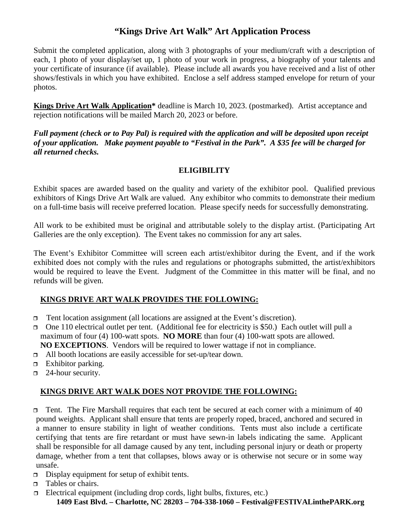# **"Kings Drive Art Walk" Art Application Process**

Submit the completed application, along with 3 photographs of your medium/craft with a description of each, 1 photo of your display/set up, 1 photo of your work in progress, a biography of your talents and your certificate of insurance (if available). Please include all awards you have received and a list of other shows/festivals in which you have exhibited. Enclose a self address stamped envelope for return of your photos.

**Kings Drive Art Walk Application\*** deadline is March 10, 2023. (postmarked). Artist acceptance and rejection notifications will be mailed March 20, 2023 or before.

*Full payment (check or to Pay Pal) is required with the application and will be deposited upon receipt of your application. Make payment payable to "Festival in the Park". A \$35 fee will be charged for all returned checks.*

#### **ELIGIBILITY**

Exhibit spaces are awarded based on the quality and variety of the exhibitor pool. Qualified previous exhibitors of Kings Drive Art Walk are valued. Any exhibitor who commits to demonstrate their medium on a full-time basis will receive preferred location. Please specify needs for successfully demonstrating.

All work to be exhibited must be original and attributable solely to the display artist. (Participating Art Galleries are the only exception). The Event takes no commission for any art sales.

The Event's Exhibitor Committee will screen each artist/exhibitor during the Event, and if the work exhibited does not comply with the rules and regulations or photographs submitted, the artist/exhibitors would be required to leave the Event. Judgment of the Committee in this matter will be final, and no refunds will be given.

## **KINGS DRIVE ART WALK PROVIDES THE FOLLOWING:**

- $\Box$  Tent location assignment (all locations are assigned at the Event's discretion).
- One 110 electrical outlet per tent. (Additional fee for electricity is \$50.) Each outlet will pull a maximum of four (4) 100-watt spots. **NO MORE** than four (4) 100-watt spots are allowed. **NO EXCEPTIONS**. Vendors will be required to lower wattage if not in compliance.
- □ All booth locations are easily accessible for set-up/tear down.
- $\Box$  Exhibitor parking.
- $\Box$  24-hour security.

## **KINGS DRIVE ART WALK DOES NOT PROVIDE THE FOLLOWING:**

 $\Box$  Tent. The Fire Marshall requires that each tent be secured at each corner with a minimum of 40 pound weights. Applicant shall ensure that tents are properly roped, braced, anchored and secured in a manner to ensure stability in light of weather conditions. Tents must also include a certificate certifying that tents are fire retardant or must have sewn-in labels indicating the same. Applicant shall be responsible for all damage caused by any tent, including personal injury or death or property damage, whether from a tent that collapses, blows away or is otherwise not secure or in some way unsafe.

- $\Box$  Display equipment for setup of exhibit tents.
- $\Box$  Tables or chairs.
- $\Box$  Electrical equipment (including drop cords, light bulbs, fixtures, etc.) **1409 East Blvd. – Charlotte, NC 28203 – 704-338-1060 – Festival@FESTIVALinthePARK.org**